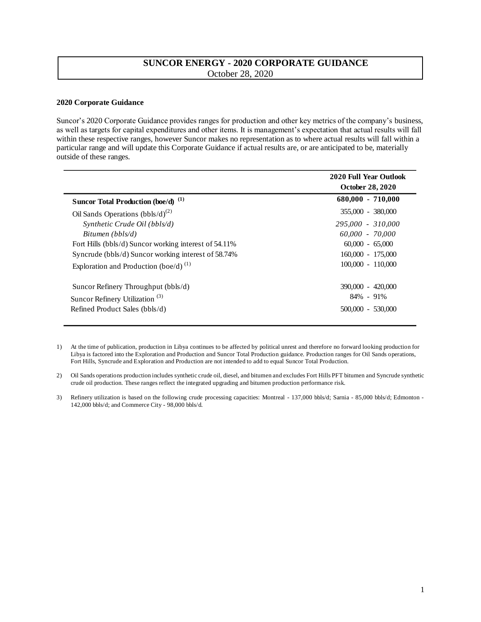## **SUNCOR ENERGY - 2020 CORPORATE GUIDANCE**  October 28, 2020

## **2020 Corporate Guidance**

Suncor's 2020 Corporate Guidance provides ranges for production and other key metrics of the company's business, as well as targets for capital expenditures and other items. It is management's expectation that actual results will fall within these respective ranges, however Suncor makes no representation as to where actual results will fall within a particular range and will update this Corporate Guidance if actual results are, or are anticipated to be, materially outside of these ranges.

|                                                       | 2020 Full Year Outlook<br><b>October 28, 2020</b> |
|-------------------------------------------------------|---------------------------------------------------|
| Suncor Total Production (boe/d) <sup>(1)</sup>        | $680,000 - 710,000$                               |
| Oil Sands Operations $(bbls/d)^{(2)}$                 | 355,000 - 380,000                                 |
| Synthetic Crude Oil (bbls/d)                          | 295,000 - 310,000                                 |
| Bitumen (bbls/d)                                      | 60.000 - 70.000                                   |
| Fort Hills (bbls/d) Suncor working interest of 54.11% | $60,000 - 65,000$                                 |
| Syncrude (bbls/d) Suncor working interest of 58.74%   | $160,000 - 175,000$                               |
| Exploration and Production (boe/d) $^{(1)}$           | $100,000 - 110,000$                               |
| Suncor Refinery Throughput (bbls/d)                   | 390,000 - 420,000                                 |
| Suncor Refinery Utilization <sup>(3)</sup>            | $84\% - 91\%$                                     |
| Refined Product Sales (bbls/d)                        | 500,000 - 530,000                                 |

1) At the time of publication, production in Libya continues to be affected by political unrest and therefore no forward looking production for Libya is factored into the Exploration and Production and Suncor Total Production guidance. Production ranges for Oil Sands operations, Fort Hills, Syncrude and Exploration and Production are not intended to add to equal Suncor Total Production.

2) Oil Sands operations production includes synthetic crude oil, diesel, and bitumen and excludes Fort Hills PFT bitumen and Syncrude synthetic crude oil production. These ranges reflect the integrated upgrading and bitumen production performance risk.

3) Refinery utilization is based on the following crude processing capacities: Montreal - 137,000 bbls/d; Sarnia - 85,000 bbls/d; Edmonton - 142,000 bbls/d; and Commerce City - 98,000 bbls/d.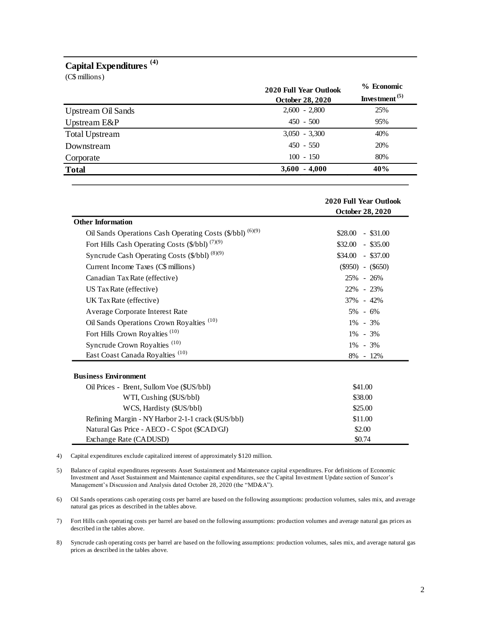## **Capital Expenditures (4)**

| Capital Expenditures <sup>(4)</sup><br>(C\$ millions) |                                                   |                                                      |
|-------------------------------------------------------|---------------------------------------------------|------------------------------------------------------|
|                                                       | 2020 Full Year Outlook<br><b>October 28, 2020</b> | % Economic<br>Investment <sup><math>(5)</math></sup> |
| <b>Upstream Oil Sands</b>                             | $2,600 - 2,800$                                   | 25%                                                  |
| Upstream E&P                                          | $450 - 500$                                       | 95%                                                  |
| <b>Total Upstream</b>                                 | $3,050 - 3,300$                                   | 40%                                                  |
| Downstream                                            | $450 - 550$                                       | 20%                                                  |
| Corporate                                             | $100 - 150$                                       | 80%                                                  |
| <b>Total</b>                                          | <b>3.600</b><br>$-4.000$                          | 40%                                                  |

|                                                            | 2020 Full Year Outlook<br>October 28, 2020 |  |
|------------------------------------------------------------|--------------------------------------------|--|
| <b>Other Information</b>                                   |                                            |  |
| Oil Sands Operations Cash Operating Costs (\$/bbl) (6)(9)  | $$28.00$ - \$31.00                         |  |
| Fort Hills Cash Operating Costs (\$/bbl) <sup>(7)(9)</sup> | $\$32.00 - \$35.00$                        |  |
| Syncrude Cash Operating Costs (\$/bbl) (8)(9)              | $$34.00$ - \$37.00                         |  |
| Current Income Taxes (C\$ millions)                        | $(\$950) - (\$650)$                        |  |
| Canadian Tax Rate (effective)                              | 25% - 26%                                  |  |
| US Tax Rate (effective)                                    | 22% - 23%                                  |  |
| UK Tax Rate (effective)                                    | 37% - 42%                                  |  |
| Average Corporate Interest Rate                            | $5\% - 6\%$                                |  |
| Oil Sands Operations Crown Royalties <sup>(10)</sup>       | $1\% - 3\%$                                |  |
| Fort Hills Crown Royalties <sup>(10)</sup>                 | $1\% - 3\%$                                |  |
| Syncrude Crown Royalties <sup>(10)</sup>                   | $1\% - 3\%$                                |  |
| East Coast Canada Royalties <sup>(10)</sup>                | 8% - 12%                                   |  |
| <b>Business Environment</b>                                |                                            |  |
| Oil Prices - Brent, Sullom Voe (\$US/bbl)                  | \$41.00                                    |  |
| WTI, Cushing (\$US/bbl)                                    | \$38.00                                    |  |
| WCS, Hardisty (\$US/bbl)                                   | \$25.00                                    |  |
| Refining Margin - NY Harbor 2-1-1 crack (\$US/bbl)         | \$11.00                                    |  |
| Natural Gas Price - AECO - C Spot (\$CAD/GJ)               | \$2.00                                     |  |
| Exchange Rate (CADUSD)                                     | \$0.74                                     |  |

4) Capital expenditures exclude capitalized interest of approximately \$120 million.

5) Balance of capital expenditures represents Asset Sustainment and Maintenance capital expenditures. For definitions of Economic Investment and Asset Sustainment and Maintenance capital expenditures, see the Capital Investment Update section of Suncor's Management's Discussion and Analysis dated October 28, 2020 (the "MD&A").

6) Oil Sands operations cash operating costs per barrel are based on the following assumptions: production volumes, sales mix, and average natural gas prices as described in the tables above.

7) Fort Hills cash operating costs per barrel are based on the following assumptions: production volumes and average natural gas prices as described in the tables above.

8) Syncrude cash operating costs per barrel are based on the following assumptions: production volumes, sales mix, and average natural gas prices as described in the tables above.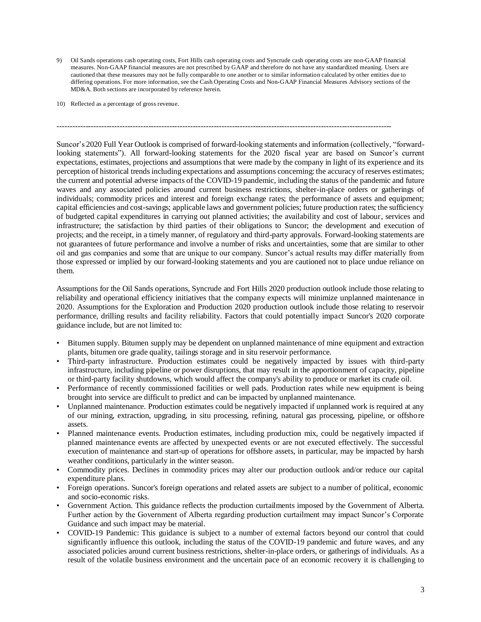9) Oil Sands operations cash operating costs, Fort Hills cash operating costs and Syncrude cash operating costs are non-GAAP financial measures. Non-GAAP financial measures are not prescribed by GAAP and therefore do not have any standardized meaning. Users are cautioned that these measures may not be fully comparable to one another or to similar information calculated by other entities due to differing operations. For more information, see the Cash Operating Costs and Non-GAAP Financial Measures Advisory sections of the MD&A. Both sections are incorporated by reference herein.

--------------------------------------------------------------------------------------------------------------------------------

10) Reflected as a percentage of gross revenue.

Suncor's 2020 Full Year Outlook is comprised of forward-looking statements and information (collectively, "forwardlooking statements"). All forward-looking statements for the 2020 fiscal year are based on Suncor's current expectations, estimates, projections and assumptions that were made by the company in light of its experience and its perception of historical trends including expectations and assumptions concerning: the accuracy of reserves estimates; the current and potential adverse impacts of the COVID-19 pandemic, including the status of the pandemic and future waves and any associated policies around current business restrictions, shelter-in-place orders or gatherings of individuals; commodity prices and interest and foreign exchange rates; the performance of assets and equipment; capital efficiencies and cost-savings; applicable laws and government policies; future production rates; the sufficiency of budgeted capital expenditures in carrying out planned activities; the availability and cost of labour, services and infrastructure; the satisfaction by third parties of their obligations to Suncor; the development and execution of projects; and the receipt, in a timely manner, of regulatory and third-party approvals. Forward-looking statements are not guarantees of future performance and involve a number of risks and uncertainties, some that are similar to other oil and gas companies and some that are unique to our company. Suncor's actual results may differ materially from those expressed or implied by our forward-looking statements and you are cautioned not to place undue reliance on them.

Assumptions for the Oil Sands operations, Syncrude and Fort Hills 2020 production outlook include those relating to reliability and operational efficiency initiatives that the company expects will minimize unplanned maintenance in 2020. Assumptions for the Exploration and Production 2020 production outlook include those relating to reservoir performance, drilling results and facility reliability. Factors that could potentially impact Suncor's 2020 corporate guidance include, but are not limited to:

- Bitumen supply. Bitumen supply may be dependent on unplanned maintenance of mine equipment and extraction plants, bitumen ore grade quality, tailings storage and in situ reservoir performance.
- Third-party infrastructure. Production estimates could be negatively impacted by issues with third-party infrastructure, including pipeline or power disruptions, that may result in the apportionment of capacity, pipeline or third-party facility shutdowns, which would affect the company's ability to produce or market its crude oil.
- Performance of recently commissioned facilities or well pads. Production rates while new equipment is being brought into service are difficult to predict and can be impacted by unplanned maintenance.
- Unplanned maintenance. Production estimates could be negatively impacted if unplanned work is required at any of our mining, extraction, upgrading, in situ processing, refining, natural gas processing, pipeline, or offshore assets.
- Planned maintenance events. Production estimates, including production mix, could be negatively impacted if planned maintenance events are affected by unexpected events or are not executed effectively. The successful execution of maintenance and start-up of operations for offshore assets, in particular, may be impacted by harsh weather conditions, particularly in the winter season.
- Commodity prices. Declines in commodity prices may alter our production outlook and/or reduce our capital expenditure plans.
- Foreign operations. Suncor's foreign operations and related assets are subject to a number of political, economic and socio-economic risks.
- Government Action. This guidance reflects the production curtailments imposed by the Government of Alberta. Further action by the Government of Alberta regarding production curtailment may impact Suncor's Corporate Guidance and such impact may be material.
- COVID-19 Pandemic: This guidance is subject to a number of external factors beyond our control that could significantly influence this outlook, including the status of the COVID-19 pandemic and future waves, and any associated policies around current business restrictions, shelter-in-place orders, or gatherings of individuals. As a result of the volatile business environment and the uncertain pace of an economic recovery it is challenging to